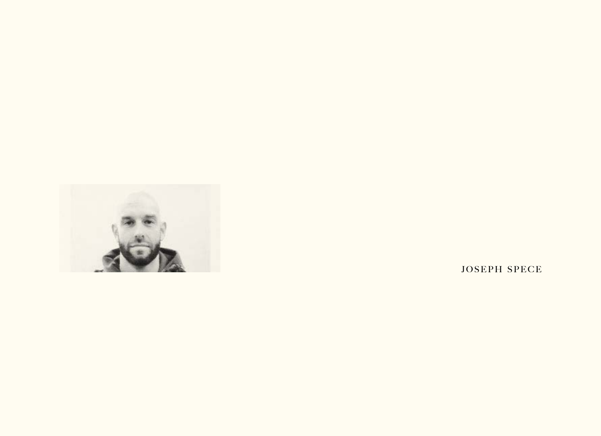

JOSEPH SPECE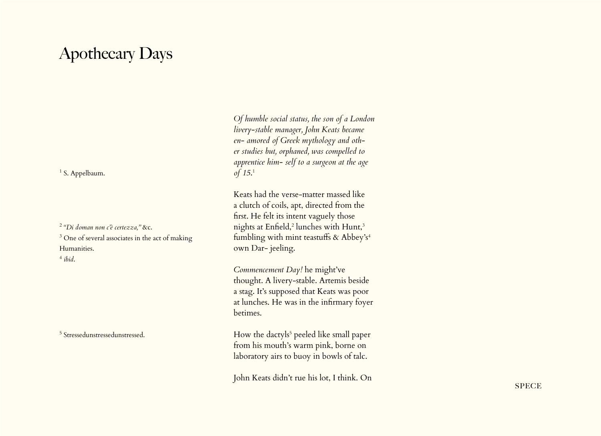## Apothecary Days

<sup>1</sup> S. Appelbaum.

<sup>2</sup> *"Di doman non c'è certezza,"* &c. <sup>3</sup> One of several associates in the act of making Humanities.

<sup>4</sup> *ibid*.

5 Stressedunstressedunstressed.

*Of humble social status, the son of a London livery-stable manager, John Keats became en- amored of Greek mythology and other studies but, orphaned, was compelled to apprentice him- self to a surgeon at the age of 15*. 1

Keats had the verse-matter massed like a clutch of coils, apt, directed from the first. He felt its intent vaguely those nights at Enfield,<sup>2</sup> lunches with Hunt,<sup>3</sup> fumbling with mint teastuffs & Abbey's<sup>4</sup> own Dar- jeeling.

*Commencement Day!* he might've thought. A livery-stable. Artemis beside a stag. It's supposed that Keats was poor at lunches. He was in the infirmary foyer betimes.

How the dactyls<sup>5</sup> peeled like small paper from his mouth's warm pink, borne on laboratory airs to buoy in bowls of talc.

John Keats didn't rue his lot, I think. On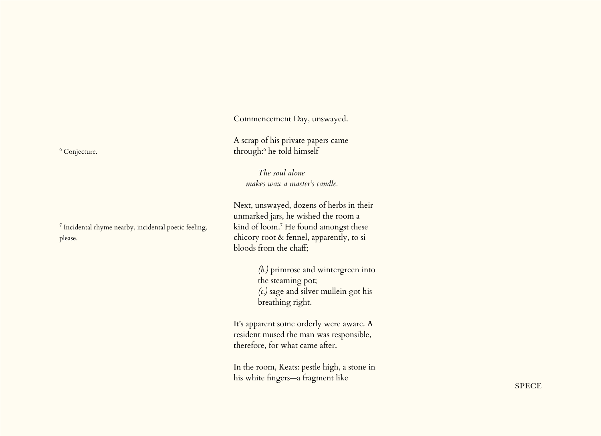Commencement Day, unswayed.

A scrap of his private papers came through:6 he told himself

> *The soul alone makes wax a master's candle.*

Next, unswayed, dozens of herbs in their unmarked jars, he wished the room a kind of loom.7 He found amongst these chicory root & fennel, apparently, to si bloods from the chaff;

> *(b.)* primrose and wintergreen into the steaming pot; *(c.)* sage and silver mullein got his breathing right.

It's apparent some orderly were aware. A resident mused the man was responsible, therefore, for what came after.

In the room, Keats: pestle high, a stone in his white fingers—a fragment like

<sup>6</sup> Conjecture.

<sup>7</sup> Incidental rhyme nearby, incidental poetic feeling, please.

**SPECE**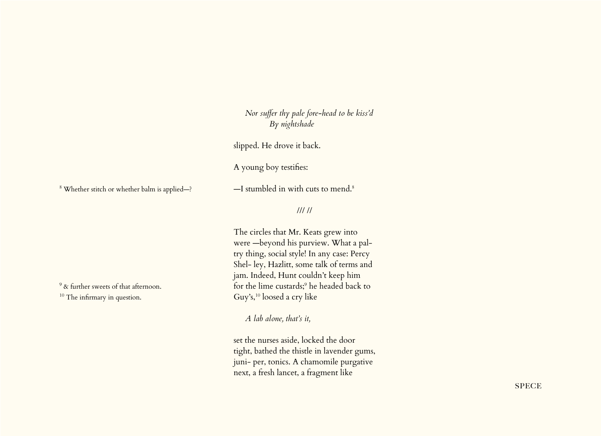*Nor suffer thy pale fore-head to be kiss'd By nightshade*

slipped. He drove it back.

A young boy testifies:

8 Whether stitch or whether balm is applied—?

 $-$ I stumbled in with cuts to mend.<sup>8</sup>

## /// //

The circles that Mr. Keats grew into were —beyond his purview. What a paltry thing, social style! In any case: Percy Shel- ley, Hazlitt, some talk of terms and jam. Indeed, Hunt couldn't keep him for the lime custards;<sup>9</sup> he headed back to Guy's,<sup>10</sup> loosed a cry like

*A lab alone, that's it,*

set the nurses aside, locked the door tight, bathed the thistle in lavender gums, juni- per, tonics. A chamomile purgative next, a fresh lancet, a fragment like

<sup>9</sup> & further sweets of that afternoon. <sup>10</sup> The infirmary in question.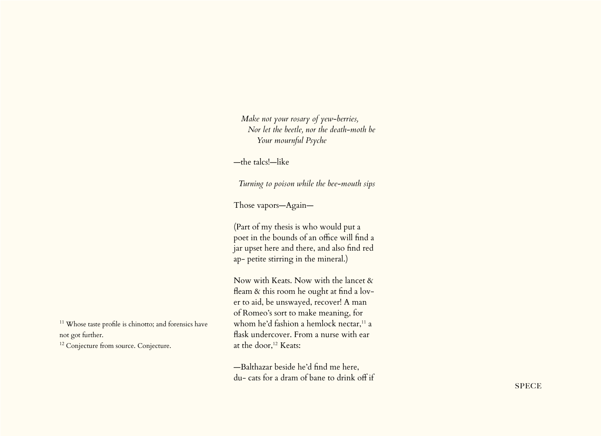*Make not your rosary of yew-berries, Nor let the beetle, nor the death-moth be Your mournful Psyche*

—the talcs!—like

*Turning to poison while the bee-mouth sips*

Those vapors—Again—

(Part of my thesis is who would put a poet in the bounds of an office will find a jar upset here and there, and also find red ap- petite stirring in the mineral.)

Now with Keats. Now with the lancet & fleam & this room he ought at find a lover to aid, be unswayed, recover! A man of Romeo's sort to make meaning, for whom he'd fashion a hemlock nectar,<sup>11</sup> a flask undercover. From a nurse with ear at the door,<sup>12</sup> Keats:

—Balthazar beside he'd find me here, du- cats for a dram of bane to drink off if

<sup>11</sup> Whose taste profile is chinotto; and forensics have not got further.

<sup>12</sup> Conjecture from source. Conjecture.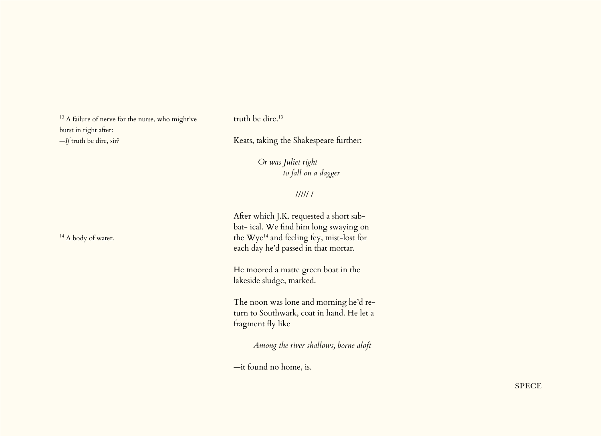<sup>13</sup> A failure of nerve for the nurse, who might've burst in right after: —*If* truth be dire, sir?

truth be dire.<sup>13</sup>

Keats, taking the Shakespeare further:

*Or was Juliet right to fall on a dagger*

///// /

After which J.K. requested a short sabbat- ical. We find him long swaying on the Wye<sup>14</sup> and feeling fey, mist-lost for each day he'd passed in that mortar.

He moored a matte green boat in the lakeside sludge, marked.

The noon was lone and morning he'd return to Southwark, coat in hand. He let a fragment fly like

*Among the river shallows, borne aloft* 

—it found no home, is.

<sup>14</sup> A body of water.